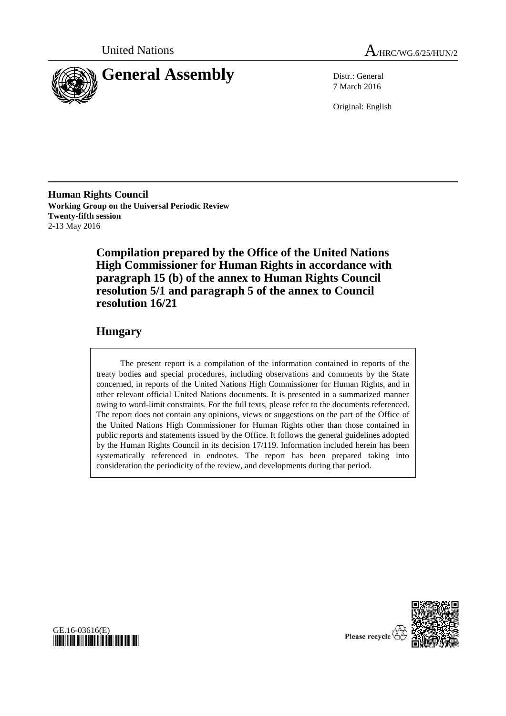



7 March 2016

Original: English

**Human Rights Council Working Group on the Universal Periodic Review Twenty-fifth session** 2-13 May 2016

> **Compilation prepared by the Office of the United Nations High Commissioner for Human Rights in accordance with paragraph 15 (b) of the annex to Human Rights Council resolution 5/1 and paragraph 5 of the annex to Council resolution 16/21**

### **Hungary**

The present report is a compilation of the information contained in reports of the treaty bodies and special procedures, including observations and comments by the State concerned, in reports of the United Nations High Commissioner for Human Rights, and in other relevant official United Nations documents. It is presented in a summarized manner owing to word-limit constraints. For the full texts, please refer to the documents referenced. The report does not contain any opinions, views or suggestions on the part of the Office of the United Nations High Commissioner for Human Rights other than those contained in public reports and statements issued by the Office. It follows the general guidelines adopted by the Human Rights Council in its decision 17/119. Information included herein has been systematically referenced in endnotes. The report has been prepared taking into consideration the periodicity of the review, and developments during that period.





Please recycle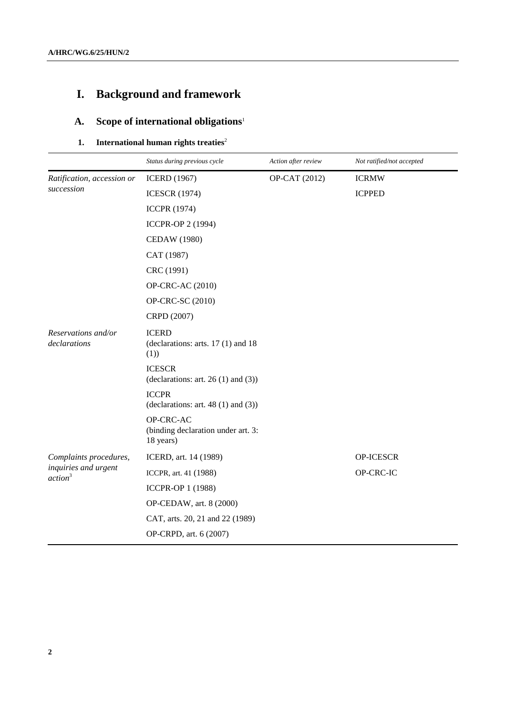# **I. Background and framework**

# **A. Scope of international obligations**<sup>1</sup>

### **1. International human rights treaties** 2

|                                             | Status during previous cycle                                  | Action after review | Not ratified/not accepted |
|---------------------------------------------|---------------------------------------------------------------|---------------------|---------------------------|
| Ratification, accession or<br>succession    | <b>ICERD</b> (1967)                                           | OP-CAT (2012)       | <b>ICRMW</b>              |
|                                             | <b>ICESCR (1974)</b>                                          |                     | <b>ICPPED</b>             |
|                                             | <b>ICCPR</b> (1974)                                           |                     |                           |
|                                             | ICCPR-OP 2 (1994)                                             |                     |                           |
|                                             | <b>CEDAW</b> (1980)                                           |                     |                           |
|                                             | CAT (1987)                                                    |                     |                           |
|                                             | CRC (1991)                                                    |                     |                           |
|                                             | OP-CRC-AC (2010)                                              |                     |                           |
|                                             | OP-CRC-SC (2010)                                              |                     |                           |
|                                             | CRPD (2007)                                                   |                     |                           |
| Reservations and/or<br>declarations         | <b>ICERD</b><br>(declarations: arts. $17(1)$ and $18$<br>(1)) |                     |                           |
|                                             | <b>ICESCR</b><br>(declarations: art. $26(1)$ and $(3)$ )      |                     |                           |
|                                             | <b>ICCPR</b><br>(declarations: art. $48(1)$ and $(3)$ )       |                     |                           |
|                                             | OP-CRC-AC<br>(binding declaration under art. 3:<br>18 years)  |                     |                           |
| Complaints procedures,                      | ICERD, art. 14 (1989)                                         |                     | OP-ICESCR                 |
| inquiries and urgent<br>action <sup>3</sup> | ICCPR, art. 41 (1988)                                         |                     | OP-CRC-IC                 |
|                                             | <b>ICCPR-OP 1 (1988)</b>                                      |                     |                           |
|                                             | OP-CEDAW, art. 8 (2000)                                       |                     |                           |
|                                             | CAT, arts. 20, 21 and 22 (1989)                               |                     |                           |
|                                             | OP-CRPD, art. 6 (2007)                                        |                     |                           |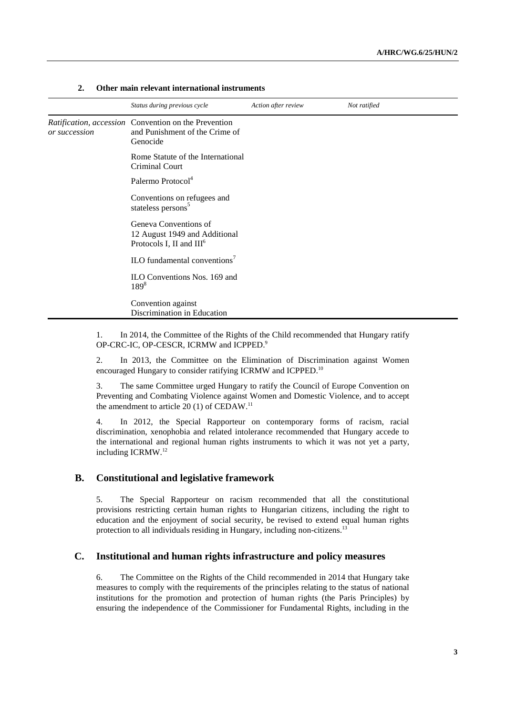|               | Status during previous cycle                                                                       | Action after review | Not ratified |
|---------------|----------------------------------------------------------------------------------------------------|---------------------|--------------|
| or succession | Ratification, accession Convention on the Prevention<br>and Punishment of the Crime of<br>Genocide |                     |              |
|               | Rome Statute of the International<br>Criminal Court                                                |                     |              |
|               | Palermo Protocol <sup>4</sup>                                                                      |                     |              |
|               | Conventions on refugees and<br>stateless persons <sup>5</sup>                                      |                     |              |
|               | Geneva Conventions of<br>12 August 1949 and Additional<br>Protocols I, II and III <sup>6</sup>     |                     |              |
|               | ILO fundamental conventions <sup>7</sup>                                                           |                     |              |
|               | ILO Conventions Nos. 169 and<br>$189^{8}$                                                          |                     |              |
|               | Convention against<br>Discrimination in Education                                                  |                     |              |

### **2. Other main relevant international instruments**

1. In 2014, the Committee of the Rights of the Child recommended that Hungary ratify OP-CRC-IC, OP-CESCR, ICRMW and ICPPED. 9

2. In 2013, the Committee on the Elimination of Discrimination against Women encouraged Hungary to consider ratifying ICRMW and ICPPED.<sup>10</sup>

3. The same Committee urged Hungary to ratify the Council of Europe Convention on Preventing and Combating Violence against Women and Domestic Violence, and to accept the amendment to article  $20(1)$  of CEDAW.<sup>11</sup>

4. In 2012, the Special Rapporteur on contemporary forms of racism, racial discrimination, xenophobia and related intolerance recommended that Hungary accede to the international and regional human rights instruments to which it was not yet a party, including ICRMW.<sup>12</sup>

### **B. Constitutional and legislative framework**

5. The Special Rapporteur on racism recommended that all the constitutional provisions restricting certain human rights to Hungarian citizens, including the right to education and the enjoyment of social security, be revised to extend equal human rights protection to all individuals residing in Hungary, including non-citizens.<sup>13</sup>

### **C. Institutional and human rights infrastructure and policy measures**

6. The Committee on the Rights of the Child recommended in 2014 that Hungary take measures to comply with the requirements of the principles relating to the status of national institutions for the promotion and protection of human rights (the Paris Principles) by ensuring the independence of the Commissioner for Fundamental Rights, including in the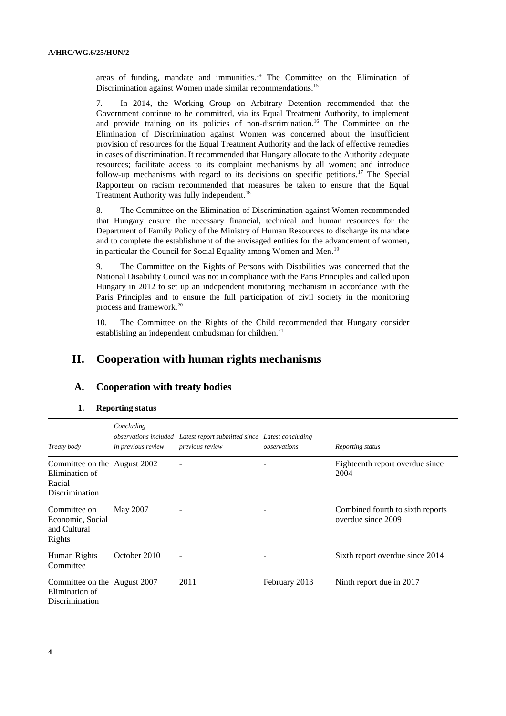areas of funding, mandate and immunities.<sup>14</sup> The Committee on the Elimination of Discrimination against Women made similar recommendations.<sup>15</sup>

7. In 2014, the Working Group on Arbitrary Detention recommended that the Government continue to be committed, via its Equal Treatment Authority, to implement and provide training on its policies of non-discrimination.<sup>16</sup> The Committee on the Elimination of Discrimination against Women was concerned about the insufficient provision of resources for the Equal Treatment Authority and the lack of effective remedies in cases of discrimination. It recommended that Hungary allocate to the Authority adequate resources; facilitate access to its complaint mechanisms by all women; and introduce follow-up mechanisms with regard to its decisions on specific petitions.<sup>17</sup> The Special Rapporteur on racism recommended that measures be taken to ensure that the Equal Treatment Authority was fully independent.<sup>18</sup>

8. The Committee on the Elimination of Discrimination against Women recommended that Hungary ensure the necessary financial, technical and human resources for the Department of Family Policy of the Ministry of Human Resources to discharge its mandate and to complete the establishment of the envisaged entities for the advancement of women, in particular the Council for Social Equality among Women and Men.<sup>19</sup>

9. The Committee on the Rights of Persons with Disabilities was concerned that the National Disability Council was not in compliance with the Paris Principles and called upon Hungary in 2012 to set up an independent monitoring mechanism in accordance with the Paris Principles and to ensure the full participation of civil society in the monitoring process and framework.<sup>20</sup>

10. The Committee on the Rights of the Child recommended that Hungary consider establishing an independent ombudsman for children.<sup>21</sup>

### **II. Cooperation with human rights mechanisms**

### **A. Cooperation with treaty bodies**

#### **1. Reporting status**

| Treaty body                                                                | Concluding<br>in previous review | observations included Latest report submitted since Latest concluding<br>previous review | observations  | Reporting status                                       |
|----------------------------------------------------------------------------|----------------------------------|------------------------------------------------------------------------------------------|---------------|--------------------------------------------------------|
| Committee on the August 2002<br>Elimination of<br>Racial<br>Discrimination |                                  |                                                                                          |               | Eighteenth report overdue since<br>2004                |
| Committee on<br>Economic, Social<br>and Cultural<br>Rights                 | May 2007                         |                                                                                          |               | Combined fourth to sixth reports<br>overdue since 2009 |
| Human Rights<br>Committee                                                  | October 2010                     |                                                                                          |               | Sixth report overdue since 2014                        |
| Committee on the August 2007<br>Elimination of<br>Discrimination           |                                  | 2011                                                                                     | February 2013 | Ninth report due in 2017                               |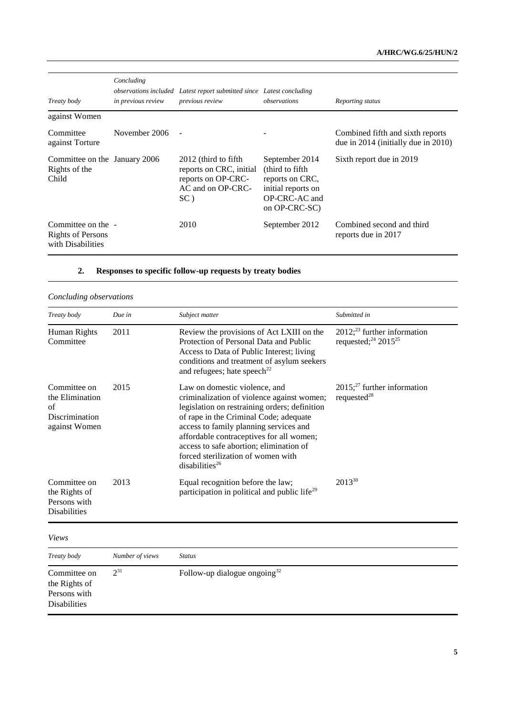| Treaty body                                                         | Concluding<br>in previous review | observations included Latest report submitted since Latest concluding<br>previous review              | observations                                                                                                  | Reporting status                                                        |
|---------------------------------------------------------------------|----------------------------------|-------------------------------------------------------------------------------------------------------|---------------------------------------------------------------------------------------------------------------|-------------------------------------------------------------------------|
| against Women                                                       |                                  |                                                                                                       |                                                                                                               |                                                                         |
| Committee<br>against Torture                                        | November 2006                    |                                                                                                       |                                                                                                               | Combined fifth and sixth reports<br>due in 2014 (initially due in 2010) |
| Committee on the January 2006<br>Rights of the<br>Child             |                                  | 2012 (third to fifth)<br>reports on CRC, initial<br>reports on OP-CRC-<br>AC and on OP-CRC-<br>$SC$ ) | September 2014<br>(third to fifth)<br>reports on CRC,<br>initial reports on<br>OP-CRC-AC and<br>on OP-CRC-SC) | Sixth report due in 2019                                                |
| Committee on the -<br><b>Rights of Persons</b><br>with Disabilities |                                  | 2010                                                                                                  | September 2012                                                                                                | Combined second and third<br>reports due in 2017                        |

# **2. Responses to specific follow-up requests by treaty bodies**

### *Concluding observations*

| Treaty body                                                              | Due in          | Subject matter                                                                                                                                                                                                                                                                                                                                                     | Submitted in                                                                              |
|--------------------------------------------------------------------------|-----------------|--------------------------------------------------------------------------------------------------------------------------------------------------------------------------------------------------------------------------------------------------------------------------------------------------------------------------------------------------------------------|-------------------------------------------------------------------------------------------|
| Human Rights<br>Committee                                                | 2011            | Review the provisions of Act LXIII on the<br>Protection of Personal Data and Public<br>Access to Data of Public Interest; living<br>conditions and treatment of asylum seekers<br>and refugees; hate speech <sup>22</sup>                                                                                                                                          | $2012$ ; <sup>23</sup> further information<br>requested; <sup>24</sup> 2015 <sup>25</sup> |
| Committee on<br>the Elimination<br>of<br>Discrimination<br>against Women | 2015            | Law on domestic violence, and<br>criminalization of violence against women;<br>legislation on restraining orders; definition<br>of rape in the Criminal Code; adequate<br>access to family planning services and<br>affordable contraceptives for all women;<br>access to safe abortion; elimination of<br>forced sterilization of women with<br>disabilities $26$ | $2015$ ; <sup>27</sup> further information<br>requested $^{28}$                           |
| Committee on<br>the Rights of<br>Persons with<br><b>Disabilities</b>     | 2013            | Equal recognition before the law;<br>participation in political and public life <sup>29</sup>                                                                                                                                                                                                                                                                      | 2013 <sup>30</sup>                                                                        |
| <b>Views</b>                                                             |                 |                                                                                                                                                                                                                                                                                                                                                                    |                                                                                           |
| Treaty body                                                              | Number of views | <b>Status</b>                                                                                                                                                                                                                                                                                                                                                      |                                                                                           |
| Committee on<br>the Rights of<br>Persons with<br><b>Disabilities</b>     | $2^{31}$        | Follow-up dialogue ongoing $32$                                                                                                                                                                                                                                                                                                                                    |                                                                                           |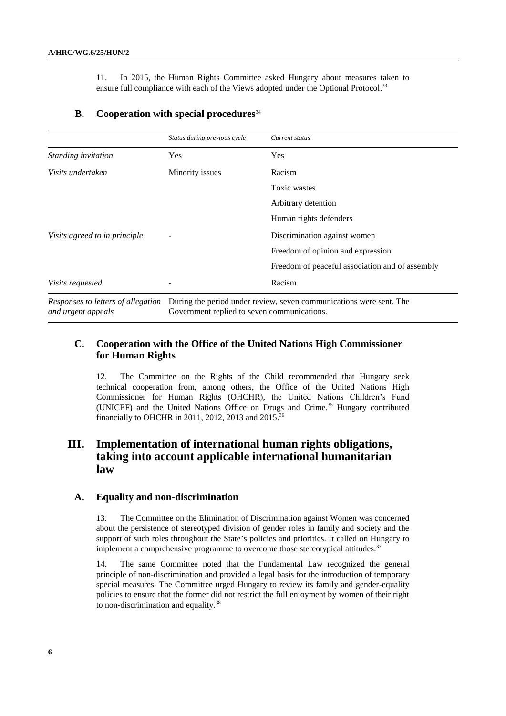11. In 2015, the Human Rights Committee asked Hungary about measures taken to ensure full compliance with each of the Views adopted under the Optional Protocol.<sup>33</sup>

# *Status during previous cycle Current status Standing invitation* Yes Yes *Yes Visits undertaken* Minority issues Racism Toxic wastes Arbitrary detention Human rights defenders *Visits agreed to in principle*  $\qquad -$  Discrimination against women Freedom of opinion and expression Freedom of peaceful association and of assembly *Visits requested* - Racism *Responses to letters of allegation*  During the period under review, seven communications were sent. The *and urgent appeals* Government replied to seven communications.

### **B. Cooperation with special procedures**<sup>34</sup>

### **C. Cooperation with the Office of the United Nations High Commissioner for Human Rights**

12. The Committee on the Rights of the Child recommended that Hungary seek technical cooperation from, among others, the Office of the United Nations High Commissioner for Human Rights (OHCHR), the United Nations Children's Fund (UNICEF) and the United Nations Office on Drugs and Crime. <sup>35</sup> Hungary contributed financially to OHCHR in 2011, 2012, 2013 and 2015.<sup>36</sup>

### **III. Implementation of international human rights obligations, taking into account applicable international humanitarian law**

### **A. Equality and non-discrimination**

13. The Committee on the Elimination of Discrimination against Women was concerned about the persistence of stereotyped division of gender roles in family and society and the support of such roles throughout the State's policies and priorities. It called on Hungary to implement a comprehensive programme to overcome those stereotypical attitudes.<sup>37</sup>

14. The same Committee noted that the Fundamental Law recognized the general principle of non-discrimination and provided a legal basis for the introduction of temporary special measures. The Committee urged Hungary to review its family and gender-equality policies to ensure that the former did not restrict the full enjoyment by women of their right to non-discrimination and equality.38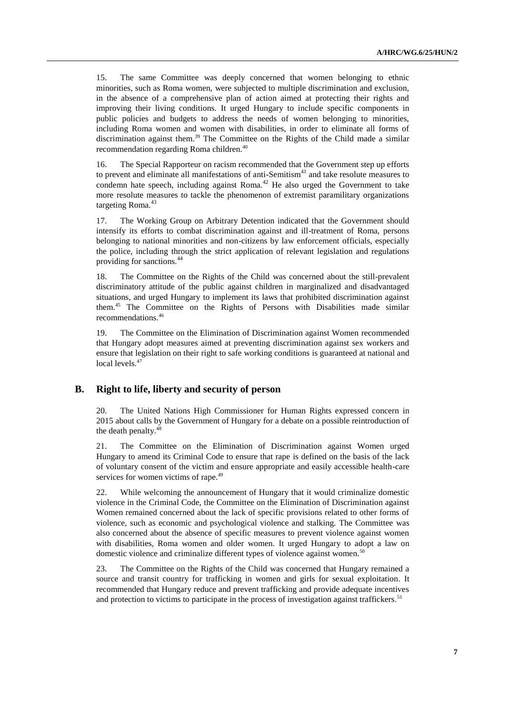15. The same Committee was deeply concerned that women belonging to ethnic minorities, such as Roma women, were subjected to multiple discrimination and exclusion, in the absence of a comprehensive plan of action aimed at protecting their rights and improving their living conditions. It urged Hungary to include specific components in public policies and budgets to address the needs of women belonging to minorities, including Roma women and women with disabilities, in order to eliminate all forms of discrimination against them.<sup>39</sup> The Committee on the Rights of the Child made a similar recommendation regarding Roma children.<sup>40</sup>

16. The Special Rapporteur on racism recommended that the Government step up efforts to prevent and eliminate all manifestations of anti-Semitism<sup>41</sup> and take resolute measures to condemn hate speech, including against Roma. $42$  He also urged the Government to take more resolute measures to tackle the phenomenon of extremist paramilitary organizations targeting Roma.<sup>43</sup>

17. The Working Group on Arbitrary Detention indicated that the Government should intensify its efforts to combat discrimination against and ill-treatment of Roma, persons belonging to national minorities and non-citizens by law enforcement officials, especially the police, including through the strict application of relevant legislation and regulations providing for sanctions.<sup>44</sup>

18. The Committee on the Rights of the Child was concerned about the still-prevalent discriminatory attitude of the public against children in marginalized and disadvantaged situations, and urged Hungary to implement its laws that prohibited discrimination against them.<sup>45</sup> The Committee on the Rights of Persons with Disabilities made similar recommendations.<sup>46</sup>

19. The Committee on the Elimination of Discrimination against Women recommended that Hungary adopt measures aimed at preventing discrimination against sex workers and ensure that legislation on their right to safe working conditions is guaranteed at national and local levels. 47

### **B. Right to life, liberty and security of person**

20. The United Nations High Commissioner for Human Rights expressed concern in 2015 about calls by the Government of Hungary for a debate on a possible reintroduction of the death penalty. 48

21. The Committee on the Elimination of Discrimination against Women urged Hungary to amend its Criminal Code to ensure that rape is defined on the basis of the lack of voluntary consent of the victim and ensure appropriate and easily accessible health-care services for women victims of rape.<sup>49</sup>

22. While welcoming the announcement of Hungary that it would criminalize domestic violence in the Criminal Code, the Committee on the Elimination of Discrimination against Women remained concerned about the lack of specific provisions related to other forms of violence, such as economic and psychological violence and stalking. The Committee was also concerned about the absence of specific measures to prevent violence against women with disabilities, Roma women and older women. It urged Hungary to adopt a law on domestic violence and criminalize different types of violence against women.<sup>50</sup>

23. The Committee on the Rights of the Child was concerned that Hungary remained a source and transit country for trafficking in women and girls for sexual exploitation. It recommended that Hungary reduce and prevent trafficking and provide adequate incentives and protection to victims to participate in the process of investigation against traffickers.<sup>51</sup>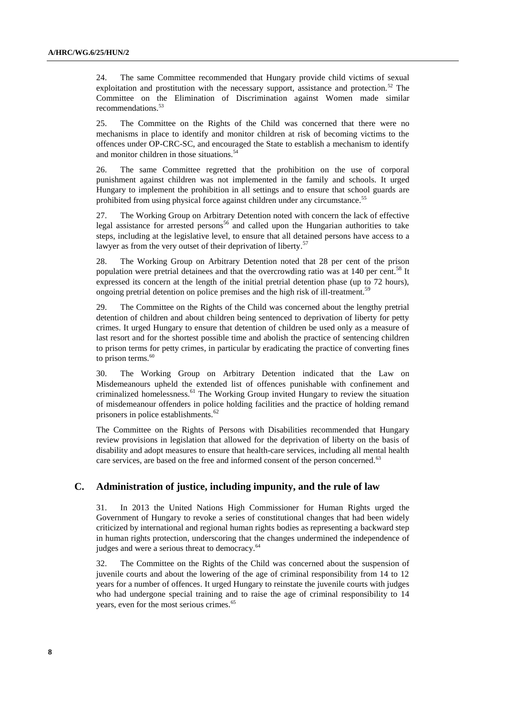24. The same Committee recommended that Hungary provide child victims of sexual exploitation and prostitution with the necessary support, assistance and protection.<sup>52</sup> The Committee on the Elimination of Discrimination against Women made similar recommendations.<sup>53</sup>

25. The Committee on the Rights of the Child was concerned that there were no mechanisms in place to identify and monitor children at risk of becoming victims to the offences under OP-CRC-SC, and encouraged the State to establish a mechanism to identify and monitor children in those situations.<sup>54</sup>

26. The same Committee regretted that the prohibition on the use of corporal punishment against children was not implemented in the family and schools. It urged Hungary to implement the prohibition in all settings and to ensure that school guards are prohibited from using physical force against children under any circumstance.<sup>55</sup>

27. The Working Group on Arbitrary Detention noted with concern the lack of effective legal assistance for arrested persons<sup>56</sup> and called upon the Hungarian authorities to take steps, including at the legislative level, to ensure that all detained persons have access to a lawyer as from the very outset of their deprivation of liberty.<sup>57</sup>

28. The Working Group on Arbitrary Detention noted that 28 per cent of the prison population were pretrial detainees and that the overcrowding ratio was at 140 per cent.<sup>58</sup> It expressed its concern at the length of the initial pretrial detention phase (up to 72 hours), ongoing pretrial detention on police premises and the high risk of ill-treatment.<sup>59</sup>

29. The Committee on the Rights of the Child was concerned about the lengthy pretrial detention of children and about children being sentenced to deprivation of liberty for petty crimes. It urged Hungary to ensure that detention of children be used only as a measure of last resort and for the shortest possible time and abolish the practice of sentencing children to prison terms for petty crimes, in particular by eradicating the practice of converting fines to prison terms.<sup>60</sup>

30. The Working Group on Arbitrary Detention indicated that the Law on Misdemeanours upheld the extended list of offences punishable with confinement and criminalized homelessness.<sup>61</sup> The Working Group invited Hungary to review the situation of misdemeanour offenders in police holding facilities and the practice of holding remand prisoners in police establishments.<sup>62</sup>

The Committee on the Rights of Persons with Disabilities recommended that Hungary review provisions in legislation that allowed for the deprivation of liberty on the basis of disability and adopt measures to ensure that health-care services, including all mental health care services, are based on the free and informed consent of the person concerned.<sup>63</sup>

#### **C. Administration of justice, including impunity, and the rule of law**

31. In 2013 the United Nations High Commissioner for Human Rights urged the Government of Hungary to revoke a series of constitutional changes that had been widely criticized by international and regional human rights bodies as representing a backward step in human rights protection, underscoring that the changes undermined the independence of judges and were a serious threat to democracy.<sup>64</sup>

32. The Committee on the Rights of the Child was concerned about the suspension of juvenile courts and about the lowering of the age of criminal responsibility from 14 to 12 years for a number of offences. It urged Hungary to reinstate the juvenile courts with judges who had undergone special training and to raise the age of criminal responsibility to 14 years, even for the most serious crimes.<sup>65</sup>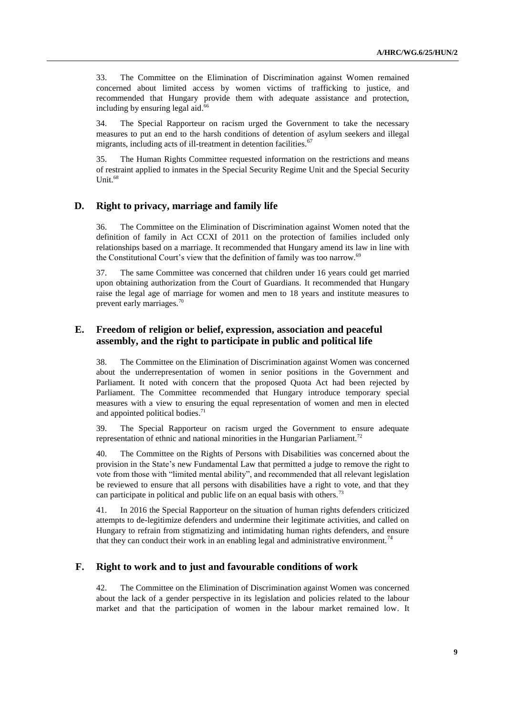33. The Committee on the Elimination of Discrimination against Women remained concerned about limited access by women victims of trafficking to justice, and recommended that Hungary provide them with adequate assistance and protection, including by ensuring legal aid.<sup>66</sup>

34. The Special Rapporteur on racism urged the Government to take the necessary measures to put an end to the harsh conditions of detention of asylum seekers and illegal migrants, including acts of ill-treatment in detention facilities.<sup>67</sup>

35. The Human Rights Committee requested information on the restrictions and means of restraint applied to inmates in the Special Security Regime Unit and the Special Security Unit. 68

### **D. Right to privacy, marriage and family life**

36. The Committee on the Elimination of Discrimination against Women noted that the definition of family in Act CCXI of 2011 on the protection of families included only relationships based on a marriage. It recommended that Hungary amend its law in line with the Constitutional Court's view that the definition of family was too narrow.<sup>69</sup>

37. The same Committee was concerned that children under 16 years could get married upon obtaining authorization from the Court of Guardians. It recommended that Hungary raise the legal age of marriage for women and men to 18 years and institute measures to prevent early marriages.<sup>70</sup>

### **E. Freedom of religion or belief, expression, association and peaceful assembly, and the right to participate in public and political life**

38. The Committee on the Elimination of Discrimination against Women was concerned about the underrepresentation of women in senior positions in the Government and Parliament. It noted with concern that the proposed Quota Act had been rejected by Parliament. The Committee recommended that Hungary introduce temporary special measures with a view to ensuring the equal representation of women and men in elected and appointed political bodies. 71

39. The Special Rapporteur on racism urged the Government to ensure adequate representation of ethnic and national minorities in the Hungarian Parliament.<sup>72</sup>

40. The Committee on the Rights of Persons with Disabilities was concerned about the provision in the State's new Fundamental Law that permitted a judge to remove the right to vote from those with "limited mental ability", and recommended that all relevant legislation be reviewed to ensure that all persons with disabilities have a right to vote, and that they can participate in political and public life on an equal basis with others.<sup>73</sup>

41. In 2016 the Special Rapporteur on the situation of human rights defenders criticized attempts to de-legitimize defenders and undermine their legitimate activities, and called on Hungary to refrain from stigmatizing and intimidating human rights defenders, and ensure that they can conduct their work in an enabling legal and administrative environment.<sup>74</sup>

### **F. Right to work and to just and favourable conditions of work**

42. The Committee on the Elimination of Discrimination against Women was concerned about the lack of a gender perspective in its legislation and policies related to the labour market and that the participation of women in the labour market remained low. It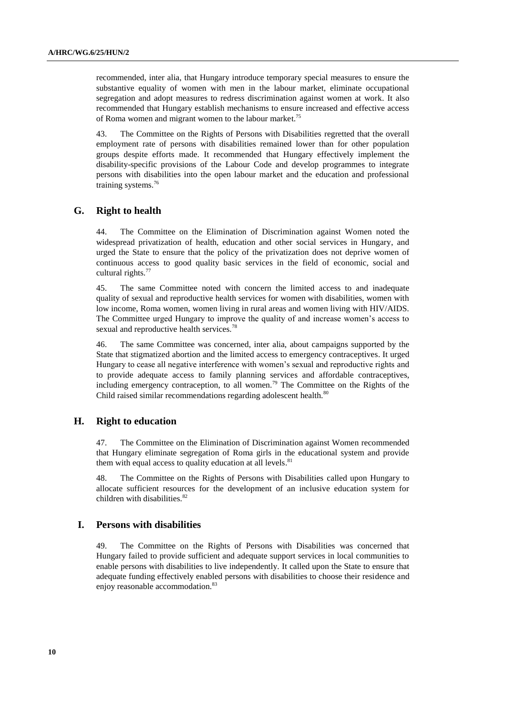recommended, inter alia, that Hungary introduce temporary special measures to ensure the substantive equality of women with men in the labour market, eliminate occupational segregation and adopt measures to redress discrimination against women at work. It also recommended that Hungary establish mechanisms to ensure increased and effective access of Roma women and migrant women to the labour market.<sup>75</sup>

43. The Committee on the Rights of Persons with Disabilities regretted that the overall employment rate of persons with disabilities remained lower than for other population groups despite efforts made. It recommended that Hungary effectively implement the disability-specific provisions of the Labour Code and develop programmes to integrate persons with disabilities into the open labour market and the education and professional training systems. 76

### **G. Right to health**

44. The Committee on the Elimination of Discrimination against Women noted the widespread privatization of health, education and other social services in Hungary, and urged the State to ensure that the policy of the privatization does not deprive women of continuous access to good quality basic services in the field of economic, social and cultural rights.<sup>77</sup>

45. The same Committee noted with concern the limited access to and inadequate quality of sexual and reproductive health services for women with disabilities, women with low income, Roma women, women living in rural areas and women living with HIV/AIDS. The Committee urged Hungary to improve the quality of and increase women's access to sexual and reproductive health services.<sup>78</sup>

46. The same Committee was concerned, inter alia, about campaigns supported by the State that stigmatized abortion and the limited access to emergency contraceptives. It urged Hungary to cease all negative interference with women's sexual and reproductive rights and to provide adequate access to family planning services and affordable contraceptives, including emergency contraception, to all women.<sup>79</sup> The Committee on the Rights of the Child raised similar recommendations regarding adolescent health.<sup>80</sup>

### **H. Right to education**

47. The Committee on the Elimination of Discrimination against Women recommended that Hungary eliminate segregation of Roma girls in the educational system and provide them with equal access to quality education at all levels.<sup>81</sup>

48. The Committee on the Rights of Persons with Disabilities called upon Hungary to allocate sufficient resources for the development of an inclusive education system for children with disabilities.<sup>82</sup>

### **I. Persons with disabilities**

49. The Committee on the Rights of Persons with Disabilities was concerned that Hungary failed to provide sufficient and adequate support services in local communities to enable persons with disabilities to live independently. It called upon the State to ensure that adequate funding effectively enabled persons with disabilities to choose their residence and enjoy reasonable accommodation.<sup>83</sup>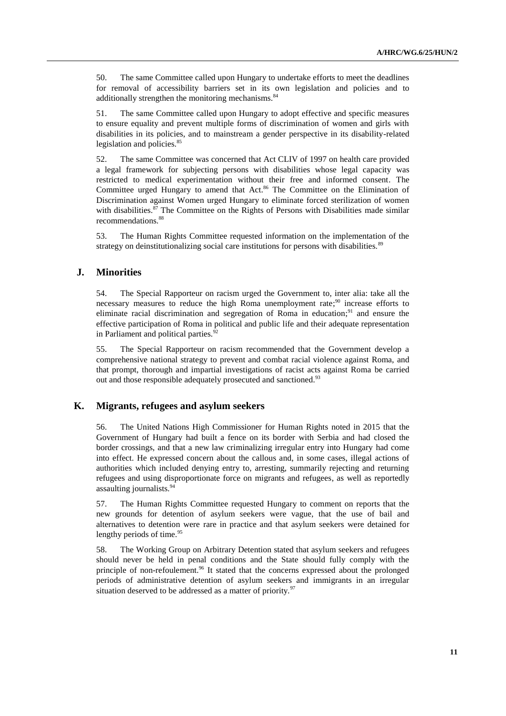50. The same Committee called upon Hungary to undertake efforts to meet the deadlines for removal of accessibility barriers set in its own legislation and policies and to additionally strengthen the monitoring mechanisms.<sup>84</sup>

51. The same Committee called upon Hungary to adopt effective and specific measures to ensure equality and prevent multiple forms of discrimination of women and girls with disabilities in its policies, and to mainstream a gender perspective in its disability-related legislation and policies.<sup>85</sup>

52. The same Committee was concerned that Act CLIV of 1997 on health care provided a legal framework for subjecting persons with disabilities whose legal capacity was restricted to medical experimentation without their free and informed consent. The Committee urged Hungary to amend that Act. <sup>86</sup> The Committee on the Elimination of Discrimination against Women urged Hungary to eliminate forced sterilization of women with disabilities.<sup>87</sup> The Committee on the Rights of Persons with Disabilities made similar recommendations.<sup>88</sup>

53. The Human Rights Committee requested information on the implementation of the strategy on deinstitutionalizing social care institutions for persons with disabilities.<sup>89</sup>

### **J. Minorities**

54. The Special Rapporteur on racism urged the Government to, inter alia: take all the necessary measures to reduce the high Roma unemployment rate;<sup>90</sup> increase efforts to eliminate racial discrimination and segregation of Roma in education;<sup>91</sup> and ensure the effective participation of Roma in political and public life and their adequate representation in Parliament and political parties. $92$ 

55. The Special Rapporteur on racism recommended that the Government develop a comprehensive national strategy to prevent and combat racial violence against Roma, and that prompt, thorough and impartial investigations of racist acts against Roma be carried out and those responsible adequately prosecuted and sanctioned.<sup>93</sup>

### **K. Migrants, refugees and asylum seekers**

56. The United Nations High Commissioner for Human Rights noted in 2015 that the Government of Hungary had built a fence on its border with Serbia and had closed the border crossings, and that a new law criminalizing irregular entry into Hungary had come into effect. He expressed concern about the callous and, in some cases, illegal actions of authorities which included denying entry to, arresting, summarily rejecting and returning refugees and using disproportionate force on migrants and refugees, as well as reportedly assaulting journalists.<sup>94</sup>

57. The Human Rights Committee requested Hungary to comment on reports that the new grounds for detention of asylum seekers were vague, that the use of bail and alternatives to detention were rare in practice and that asylum seekers were detained for lengthy periods of time.<sup>95</sup>

58. The Working Group on Arbitrary Detention stated that asylum seekers and refugees should never be held in penal conditions and the State should fully comply with the principle of non-refoulement. <sup>96</sup> It stated that the concerns expressed about the prolonged periods of administrative detention of asylum seekers and immigrants in an irregular situation deserved to be addressed as a matter of priority.<sup>97</sup>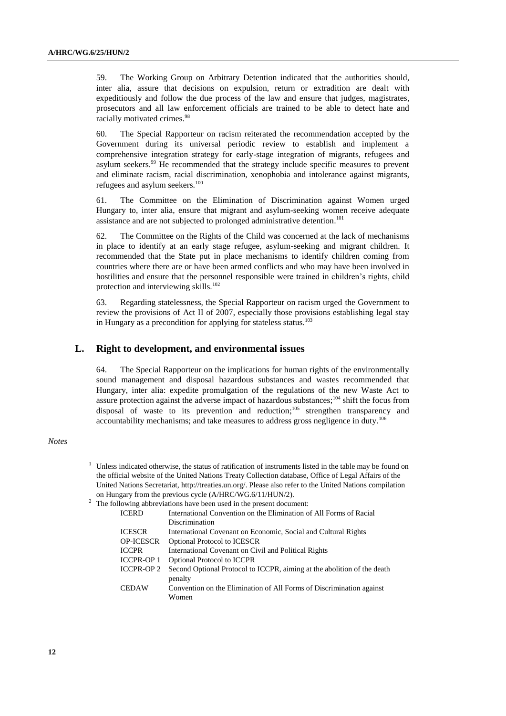59. The Working Group on Arbitrary Detention indicated that the authorities should, inter alia, assure that decisions on expulsion, return or extradition are dealt with expeditiously and follow the due process of the law and ensure that judges, magistrates, prosecutors and all law enforcement officials are trained to be able to detect hate and racially motivated crimes.<sup>98</sup>

60. The Special Rapporteur on racism reiterated the recommendation accepted by the Government during its universal periodic review to establish and implement a comprehensive integration strategy for early-stage integration of migrants, refugees and asylum seekers.<sup>99</sup> He recommended that the strategy include specific measures to prevent and eliminate racism, racial discrimination, xenophobia and intolerance against migrants, refugees and asylum seekers.<sup>100</sup>

61. The Committee on the Elimination of Discrimination against Women urged Hungary to, inter alia, ensure that migrant and asylum-seeking women receive adequate assistance and are not subjected to prolonged administrative detention.<sup>101</sup>

62. The Committee on the Rights of the Child was concerned at the lack of mechanisms in place to identify at an early stage refugee, asylum-seeking and migrant children. It recommended that the State put in place mechanisms to identify children coming from countries where there are or have been armed conflicts and who may have been involved in hostilities and ensure that the personnel responsible were trained in children's rights, child protection and interviewing skills.<sup>102</sup>

63. Regarding statelessness, the Special Rapporteur on racism urged the Government to review the provisions of Act II of 2007, especially those provisions establishing legal stay in Hungary as a precondition for applying for stateless status.<sup>103</sup>

### **L. Right to development, and environmental issues**

64. The Special Rapporteur on the implications for human rights of the environmentally sound management and disposal hazardous substances and wastes recommended that Hungary, inter alia: expedite promulgation of the regulations of the new Waste Act to assure protection against the adverse impact of hazardous substances;<sup>104</sup> shift the focus from disposal of waste to its prevention and reduction;<sup>105</sup> strengthen transparency and accountability mechanisms; and take measures to address gross negligence in duty.<sup>106</sup>

#### *Notes*

<sup>1</sup> Unless indicated otherwise, the status of ratification of instruments listed in the table may be found on the official website of the United Nations Treaty Collection database, Office of Legal Affairs of the United Nations Secretariat[, http://treaties.un.org/.](http://treaties.un.org/) Please also refer to the United Nations compilation on Hungary from the previous cycle (A/HRC/WG.6/11/HUN/2).

| $2\degree$ The following abbreviations have been used in the present document: |                                                                         |  |
|--------------------------------------------------------------------------------|-------------------------------------------------------------------------|--|
| <b>ICERD</b>                                                                   | International Convention on the Elimination of All Forms of Racial      |  |
|                                                                                | Discrimination                                                          |  |
| <b>ICESCR</b>                                                                  | International Covenant on Economic, Social and Cultural Rights          |  |
| <b>OP-ICESCR</b>                                                               | <b>Optional Protocol to ICESCR</b>                                      |  |
| <b>ICCPR</b>                                                                   | International Covenant on Civil and Political Rights                    |  |
| ICCPR-OP 1                                                                     | <b>Optional Protocol to ICCPR</b>                                       |  |
| <b>ICCPR-OP 2</b>                                                              | Second Optional Protocol to ICCPR, aiming at the abolition of the death |  |
|                                                                                | penalty                                                                 |  |
| <b>CEDAW</b>                                                                   | Convention on the Elimination of All Forms of Discrimination against    |  |
|                                                                                | Women                                                                   |  |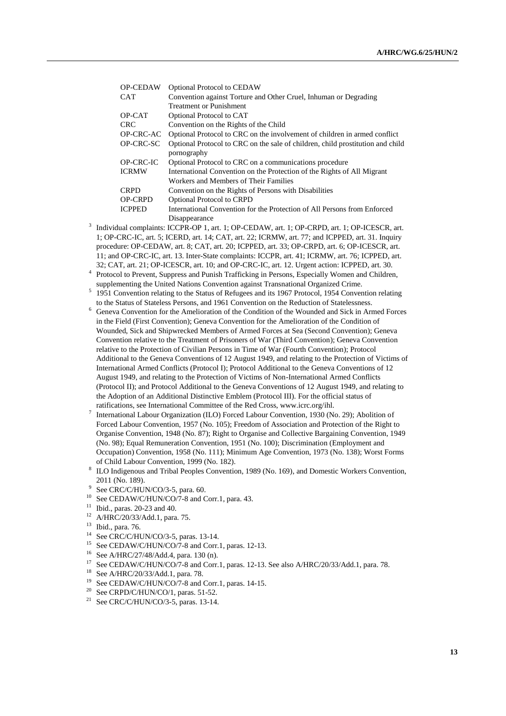| <b>OP-CEDAW</b> | <b>Optional Protocol to CEDAW</b>                                                             |
|-----------------|-----------------------------------------------------------------------------------------------|
| CAT             | Convention against Torture and Other Cruel, Inhuman or Degrading                              |
|                 | <b>Treatment or Punishment</b>                                                                |
| OP-CAT          | Optional Protocol to CAT                                                                      |
| CRC             | Convention on the Rights of the Child                                                         |
| OP-CRC-AC       | Optional Protocol to CRC on the involvement of children in armed conflict                     |
| OP-CRC-SC       | Optional Protocol to CRC on the sale of children, child prostitution and child<br>pornography |
| OP-CRC-IC       | Optional Protocol to CRC on a communications procedure                                        |
| ICRMW           | International Convention on the Protection of the Rights of All Migrant                       |
|                 | Workers and Members of Their Families                                                         |
| CRPD            | Convention on the Rights of Persons with Disabilities                                         |
| OP-CRPD         | <b>Optional Protocol to CRPD</b>                                                              |
| <b>ICPPED</b>   | International Convention for the Protection of All Persons from Enforced                      |
|                 | Disappearance                                                                                 |

- 3 Individual complaints: ICCPR-OP 1, art. 1; OP-CEDAW, art. 1; OP-CRPD, art. 1; OP-ICESCR, art. 1; OP-CRC-IC, art. 5; ICERD, art. 14; CAT, art. 22; ICRMW, art. 77; and ICPPED, art. 31. Inquiry procedure: OP-CEDAW, art. 8; CAT, art. 20; ICPPED, art. 33; OP-CRPD, art. 6; OP-ICESCR, art. 11; and OP-CRC-IC, art. 13. Inter-State complaints: ICCPR, art. 41; ICRMW, art. 76; ICPPED, art. 32; CAT, art. 21; OP-ICESCR, art. 10; and OP-CRC-IC, art. 12. Urgent action: ICPPED, art. 30.
- <sup>4</sup> Protocol to Prevent, Suppress and Punish Trafficking in Persons, Especially Women and Children, supplementing the United Nations Convention against Transnational Organized Crime.
- <sup>5</sup> 1951 Convention relating to the Status of Refugees and its 1967 Protocol, 1954 Convention relating to the Status of Stateless Persons, and 1961 Convention on the Reduction of Statelessness.
- <sup>6</sup> Geneva Convention for the Amelioration of the Condition of the Wounded and Sick in Armed Forces in the Field (First Convention); Geneva Convention for the Amelioration of the Condition of Wounded, Sick and Shipwrecked Members of Armed Forces at Sea (Second Convention); Geneva Convention relative to the Treatment of Prisoners of War (Third Convention); Geneva Convention relative to the Protection of Civilian Persons in Time of War (Fourth Convention); Protocol Additional to the Geneva Conventions of 12 August 1949, and relating to the Protection of Victims of International Armed Conflicts (Protocol I); Protocol Additional to the Geneva Conventions of 12 August 1949, and relating to the Protection of Victims of Non-International Armed Conflicts (Protocol II); and Protocol Additional to the Geneva Conventions of 12 August 1949, and relating to the Adoption of an Additional Distinctive Emblem (Protocol III). For the official status of ratifications, see International Committee of the Red Cross, www.icrc.org/ihl.
- 7 International Labour Organization (ILO) Forced Labour Convention, 1930 (No. 29); Abolition of Forced Labour Convention, 1957 (No. 105); Freedom of Association and Protection of the Right to Organise Convention, 1948 (No. 87); Right to Organise and Collective Bargaining Convention, 1949 (No. 98); Equal Remuneration Convention, 1951 (No. 100); Discrimination (Employment and Occupation) Convention, 1958 (No. 111); Minimum Age Convention, 1973 (No. 138); Worst Forms of Child Labour Convention, 1999 (No. 182).
- 8 ILO Indigenous and Tribal Peoples Convention, 1989 (No. 169), and Domestic Workers Convention, 2011 (No. 189).
- <sup>9</sup> See CRC/C/HUN/CO/3-5, para. 60.
- <sup>10</sup> See CEDAW/C/HUN/CO/7-8 and Corr.1, para. 43.
- $11$  Ibid., paras. 20-23 and 40.
- <sup>12</sup> A/HRC/20/33/Add.1, para. 75.
- <sup>13</sup> Ibid., para. 76.
- <sup>14</sup> See CRC/C/HUN/CO/3-5, paras. 13-14.<br><sup>15</sup> See CEDAW/C/HUN/CO/7-8 and Corr
- <sup>15</sup> See CEDAW/C/HUN/CO/7-8 and Corr.1, paras. 12-13.<br><sup>16</sup> See A/HBC/27/48/Add 4, para. 130 (n)
- <sup>16</sup> See A/HRC/27/48/Add.4, para. 130 (n).<br><sup>17</sup> See CEDAW/C/HUN/CO/7, 8 and Corr
- <sup>17</sup> See CEDAW/C/HUN/CO/7-8 and Corr.1, paras. 12-13. See also A/HRC/20/33/Add.1, para. 78.<br><sup>18</sup> See A/HRC/20/33/Add.1, para. 78.
- <sup>18</sup> See A/HRC/20/33/Add.1, para. 78.
- <sup>19</sup> See CEDAW/C/HUN/CO/7-8 and Corr.1, paras. 14-15.<br><sup>20</sup> See CRPD/C/HUN/CO/1, paras. 51.52.
- See CRPD/C/HUN/CO/1, paras. 51-52.
- <sup>21</sup> See CRC/C/HUN/CO/3-5, paras. 13-14.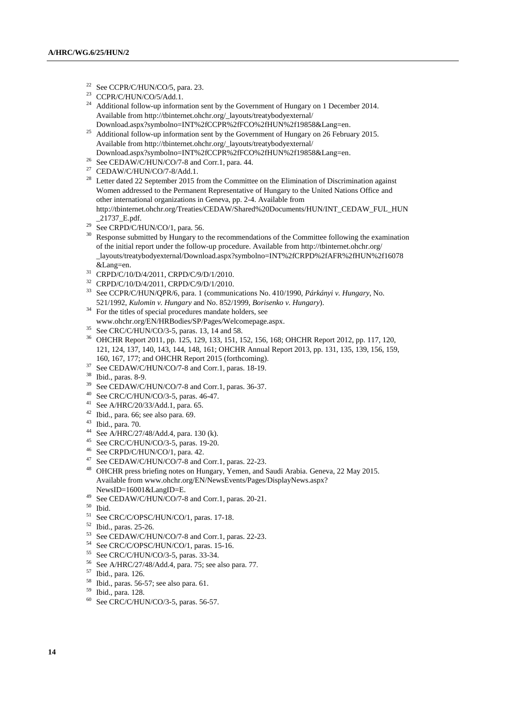- <sup>22</sup> See CCPR/C/HUN/CO/5, para. 23.<br><sup>23</sup> CCPR/C/HUN/CO/5/Add 1
- CCPR/C/HUN/CO/5/Add.1.
- <sup>24</sup> Additional follow-up information sent by the Government of Hungary on 1 December 2014. Available from [http://tbinternet.ohchr.org/\\_layouts/treatybodyexternal/](http://tbinternet.ohchr.org/_layouts/treatybodyexternal/Download.aspx?symbolno=INT%2fCCPR%2fFCO%2fHUN%2f19858&Lang=en) [Download.aspx?symbolno=INT%2fCCPR%2fFCO%2fHUN%2f19858&Lang=en.](http://tbinternet.ohchr.org/_layouts/treatybodyexternal/Download.aspx?symbolno=INT%2fCCPR%2fFCO%2fHUN%2f19858&Lang=en)
- <sup>25</sup> Additional follow-up information sent by the Government of Hungary on 26 February 2015. Available from http://tbinternet.ohchr.org/\_layouts/treatybodyexternal/
- Download.aspx?symbolno=INT%2fCCPR%2fFCO%2fHUN%2f19858&Lang=en.
- <sup>26</sup> See CEDAW/C/HUN/CO/7-8 and Corr.1, para. 44.
- $^{27}$  CEDAW/C/HUN/CO/7-8/Add.1.
- <sup>28</sup> Letter dated 22 September 2015 from the Committee on the Elimination of Discrimination against Women addressed to the Permanent Representative of Hungary to the United Nations Office and other international organizations in Geneva, pp. 2-4. Available from [http://tbinternet.ohchr.org/Treaties/CEDAW/Shared%20Documents/HUN/INT\\_CEDAW\\_FUL\\_HUN](http://tbinternet.ohchr.org/Treaties/CEDAW/Shared%20Documents/HUN/INT_CEDAW_FUL_HUN_21737_E.pdf) [\\_21737\\_E.pdf.](http://tbinternet.ohchr.org/Treaties/CEDAW/Shared%20Documents/HUN/INT_CEDAW_FUL_HUN_21737_E.pdf)
- $29$  See CRPD/C/HUN/CO/1, para. 56.
- <sup>30</sup> Response submitted by Hungary to the recommendations of the Committee following the examination of the initial report under the follow-up procedure. Available from http://tbinternet.ohchr.org/ \_layouts/treatybodyexternal/Download.aspx?symbolno=INT%2fCRPD%2fAFR%2fHUN%2f16078 &Lang=en.
- <sup>31</sup> CRPD/C/10/D/4/2011, CRPD/C/9/D/1/2010.
- <sup>32</sup> CRPD/C/10/D/4/2011, CRPD/C/9/D/1/2010.
- <sup>33</sup> See CCPR/C/HUN/QPR/6, para. 1 (communications No. 410/1990, *Párkányi v. Hungary*, No. 521/1992, *Kulomin v. Hungary* and No. 852/1999, *Borisenko v. Hungary*).
- <sup>34</sup> For the titles of special procedures mandate holders, see www.ohchr.org/EN/HRBodies/SP/Pages/Welcomepage.aspx.
- $35$  See CRC/C/HUN/CO/3-5, paras. 13, 14 and 58.
- <sup>36</sup> OHCHR Report 2011, pp. 125, 129, 133, 151, 152, 156, 168; OHCHR Report 2012, pp. 117, 120, 121, 124, 137, 140, 143, 144, 148, 161; OHCHR Annual Report 2013, pp. 131, 135, 139, 156, 159, 160, 167, 177; and OHCHR Report 2015 (forthcoming).
- <sup>37</sup> See CEDAW/C/HUN/CO/7-8 and Corr.1, paras. 18-19.
- $^{38}$  Ibid., paras. 8-9.
- See CEDAW/C/HUN/CO/7-8 and Corr.1, paras. 36-37.
- <sup>40</sup> See CRC/C/HUN/CO/3-5, paras. 46-47.
- <sup>41</sup> See A/HRC/20/33/Add.1, para. 65.
- <sup>42</sup> Ibid., para. 66; see also para. 69.
- <sup>43</sup> Ibid., para. 70.
- <sup>44</sup> See A/HRC/27/48/Add.4, para. 130 (k).
- <sup>45</sup> See CRC/C/HUN/CO/3-5, paras. 19-20.
- <sup>46</sup> See CRPD/C/HUN/CO/1, para. 42.
- <sup>47</sup> See CEDAW/C/HUN/CO/7-8 and Corr.1, paras. 22-23.
- <sup>48</sup> OHCHR press briefing notes on Hungary, Yemen, and Saudi Arabia. Geneva, 22 May 2015. Available from www.ohchr.org/EN/NewsEvents/Pages/DisplayNews.aspx? NewsID=16001&LangID=E.
- <sup>49</sup> See CEDAW/C/HUN/CO/7-8 and Corr.1, paras. 20-21.
- <sup>50</sup> Ibid.
- <sup>51</sup> See CRC/C/OPSC/HUN/CO/1, paras. 17-18.
- $^{52}$  Ibid., paras. 25-26.
- See CEDAW/C/HUN/CO/7-8 and Corr.1, paras. 22-23.
- <sup>54</sup> See CRC/C/OPSC/HUN/CO/1, paras. 15-16.<br><sup>55</sup> See CBC/C/HUN/CO/2, 5, paras. <sup>22, 24</sup>.
- <sup>55</sup> See CRC/C/HUN/CO/3-5, paras. 33-34.<br><sup>56</sup> See A/HPC/27/48/Add 4, para. 75: see a
- See A/HRC/27/48/Add.4, para. 75; see also para. 77.
- $^{57}$  Ibid., para. 126.
- $^{58}$  Ibid., paras. 56-57; see also para. 61.<br> $^{59}$  Ibid., para. 128
- $^{59}$  Ibid., para. 128.<br><sup>60</sup> See CRC/C/HII
- See CRC/C/HUN/CO/3-5, paras. 56-57.